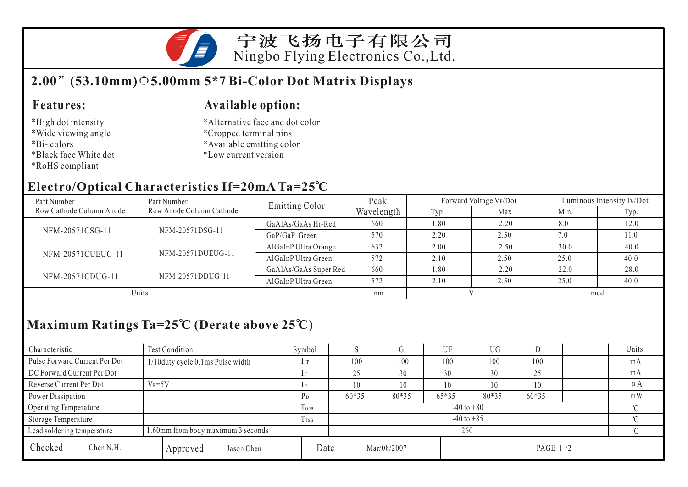

宁波飞扬电子有限公司 Ningbo Flying Electronics Co.,Ltd.

# **2.00 (53.10mm) 5.00mm 5\*7 Bi-Color Dot Matrix Displays**

### **Features:**

- \*High dot intensity
- \*Wide viewing angle
- \*Bi- colors
- \*Black face White dot
- \*RoHS compliant

### **Available option:**

- \*Alternative face and dot color
- \*Cropped terminal pins
- \*Available emitting color
- \*Low current version

# **Electro/Optical Characteristics If=20mA Ta=25 C**

| Part Number              | Part Number              | <b>Emitting Color</b> | Peak       |      | Forward Voltage VF/Dot | Luminous Intensity Iv/Dot |      |  |
|--------------------------|--------------------------|-----------------------|------------|------|------------------------|---------------------------|------|--|
| Row Cathode Column Anode | Row Anode Column Cathode |                       | Wavelength | Typ. | Max.                   | Min.                      | Typ. |  |
| NFM-20571CSG-11          |                          | GaAlAs/GaAs Hi-Red    | 660        | 1.80 | 2.20                   | 8.0                       | 12.0 |  |
|                          | NFM-20571DSG-11          | $GaP/GaP$ Green       | 570        | 2.20 | 2.50                   | 7.0                       | 11.0 |  |
| NFM-20571CUEUG-11        |                          | AlGaInP Ultra Orange  | 632        | 2.00 | 2.50                   | 30.0                      | 40.0 |  |
|                          | NFM-20571DUEUG-11        | AlGaInP Ultra Green   | 572        | 2.10 | 2.50                   | 25.0                      | 40.0 |  |
| NFM-20571CDUG-11         |                          | GaAlAs/GaAs Super Red | 660        | 1.80 | 2.20                   | 22.0                      | 28.0 |  |
|                          | NFM-20571DDUG-11         | AlGaInP Ultra Green   | 572        | 2.10 | 2.50                   | 25.0                      | 40.0 |  |
| Units                    |                          |                       | nm         |      |                        | mcd                       |      |  |

# **Maximum Ratings Ta=25 C (Derate above 25 C)**

| Characteristic             |                                                                  | Test Condition                      |          |            |                          | Symbol                   |  |             |       | UE    | UG        |                |        | Units   |  |
|----------------------------|------------------------------------------------------------------|-------------------------------------|----------|------------|--------------------------|--------------------------|--|-------------|-------|-------|-----------|----------------|--------|---------|--|
|                            | Pulse Forward Current Per Dot                                    | $1/10$ duty cycle 0.1ms Pulse width |          |            |                          | $1$ FP                   |  | 100         | 100   | 100   | 100       | 100            |        | mA      |  |
| DC Forward Current Per Dot |                                                                  |                                     |          |            |                          |                          |  | 25          | 30    | 30    | 30        | 25             |        | mA      |  |
| Reverse Current Per Dot    |                                                                  | $V_R = 5V$                          |          |            |                          |                          |  |             | 10    | 10    |           | $\overline{0}$ |        | $\mu A$ |  |
| Power Dissipation          |                                                                  |                                     |          |            |                          | P <sub>D</sub>           |  | 60*35       | 80*35 | 65*35 | 80*35     | $60*35$        |        | mW      |  |
| Operating Temperature      |                                                                  |                                     |          |            | <b>TOPR</b>              | $-40$ to $+80$<br>$\sim$ |  |             |       |       |           |                |        |         |  |
| Storage Temperature        |                                                                  |                                     |          | Trsg       | $-40$ to $+85$<br>$\sim$ |                          |  |             |       |       |           |                |        |         |  |
|                            | 1.60mm from body maximum 3 seconds<br>Lead soldering temperature |                                     |          |            |                          | 260                      |  |             |       |       |           |                | $\sim$ |         |  |
| Checked                    | Chen N.H.                                                        |                                     | Approved | Jason Chen | Date                     |                          |  | Mar/08/2007 |       |       | PAGE 1 /2 |                |        |         |  |